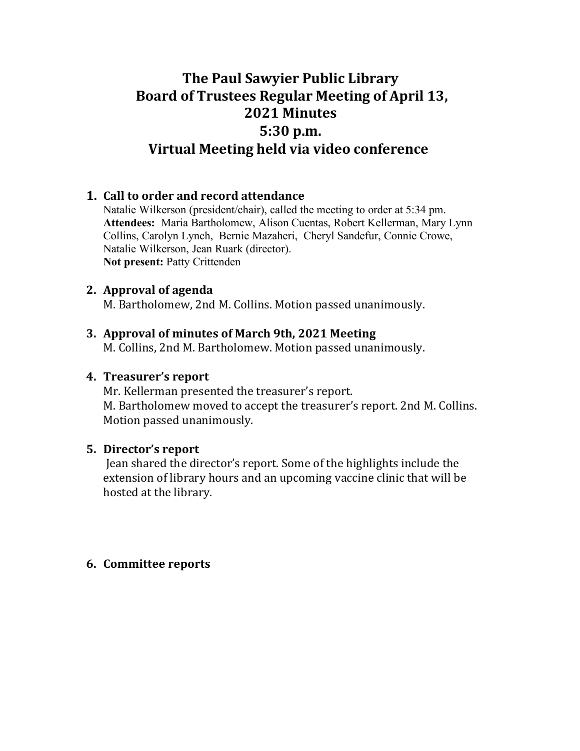# **The Paul Sawyier Public Library** Board of Trustees Regular Meeting of April 13, **2021 Minutes 5:30 p.m. Virtual Meeting held via video conference**

## **1.** Call to order and record attendance

Natalie Wilkerson (president/chair), called the meeting to order at 5:34 pm. **Attendees:** Maria Bartholomew, Alison Cuentas, Robert Kellerman, Mary Lynn Collins, Carolyn Lynch, Bernie Mazaheri, Cheryl Sandefur, Connie Crowe, Natalie Wilkerson, Jean Ruark (director). **Not present:** Patty Crittenden

### **2.** Approval of agenda

M. Bartholomew, 2nd M. Collins. Motion passed unanimously.

#### **3. Approval of minutes of March 9th, 2021 Meeting**

M. Collins, 2nd M. Bartholomew. Motion passed unanimously.

#### **4. Treasurer's report**

Mr. Kellerman presented the treasurer's report. M. Bartholomew moved to accept the treasurer's report. 2nd M. Collins. Motion passed unanimously.

#### **5. Director's report**

Jean shared the director's report. Some of the highlights include the extension of library hours and an upcoming vaccine clinic that will be hosted at the library.

#### **6.** Committee reports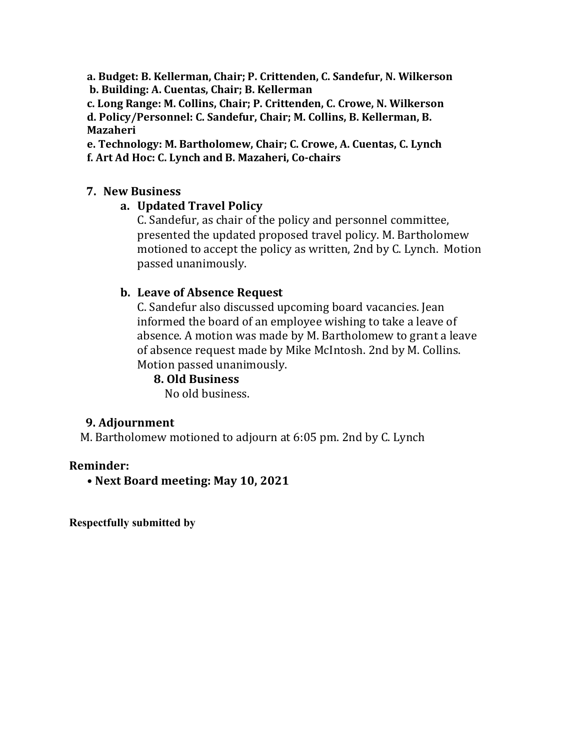**a. Budget: B. Kellerman, Chair; P. Crittenden, C. Sandefur, N. Wilkerson b. Building: A. Cuentas, Chair; B. Kellerman** 

c. Long Range: M. Collins, Chair; P. Crittenden, C. Crowe, N. Wilkerson **d. Policy/Personnel: C. Sandefur, Chair; M. Collins, B. Kellerman, B. Mazaheri**

e. Technology: M. Bartholomew, Chair; C. Crowe, A. Cuentas, C. Lynch **f. Art Ad Hoc: C. Lynch and B. Mazaheri, Co-chairs** 

## **7. New Business**

# **a. Updated Travel Policy**

C. Sandefur, as chair of the policy and personnel committee, presented the updated proposed travel policy. M. Bartholomew motioned to accept the policy as written, 2nd by C. Lynch. Motion passed unanimously.

## **b.** Leave of Absence Request

C. Sandefur also discussed upcoming board vacancies. Jean informed the board of an employee wishing to take a leave of absence. A motion was made by M. Bartholomew to grant a leave of absence request made by Mike McIntosh. 2nd by M. Collins. Motion passed unanimously.

## **8. Old Business**

No old business.

# **9. Adjournment**

M. Bartholomew motioned to adjourn at 6:05 pm. 2nd by C. Lynch

## **Reminder:**

**• Next Board meeting: May 10, 2021**

**Respectfully submitted by**